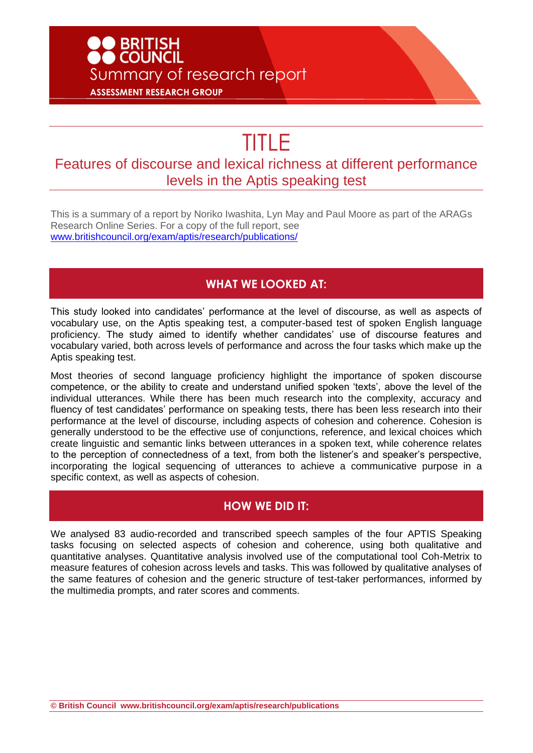## **D**<br>BRITISH<br>DCOUNCIL Summary of research report **ASSESSMENT RESEARCH GROUP**

# TITLE

### Features of discourse and lexical richness at different performance levels in the Aptis speaking test

This is a summary of a report by Noriko Iwashita, Lyn May and Paul Moore as part of the ARAGs Research Online Series. For a copy of the full report, see [www.britishcouncil.org/exam/aptis/research/publications/](http://www.britishcouncil.org/exam/aptis/research/publications/)

#### **WHAT WE LOOKED AT:**

This study looked into candidates' performance at the level of discourse, as well as aspects of vocabulary use, on the Aptis speaking test, a computer-based test of spoken English language proficiency. The study aimed to identify whether candidates' use of discourse features and vocabulary varied, both across levels of performance and across the four tasks which make up the Aptis speaking test.

Most theories of second language proficiency highlight the importance of spoken discourse competence, or the ability to create and understand unified spoken 'texts', above the level of the individual utterances. While there has been much research into the complexity, accuracy and fluency of test candidates' performance on speaking tests, there has been less research into their performance at the level of discourse, including aspects of cohesion and coherence. Cohesion is generally understood to be the effective use of conjunctions, reference, and lexical choices which create linguistic and semantic links between utterances in a spoken text, while coherence relates to the perception of connectedness of a text, from both the listener's and speaker's perspective, incorporating the logical sequencing of utterances to achieve a communicative purpose in a specific context, as well as aspects of cohesion.

#### **HOW WE DID IT:**

We analysed 83 audio-recorded and transcribed speech samples of the four APTIS Speaking tasks focusing on selected aspects of cohesion and coherence, using both qualitative and quantitative analyses. Quantitative analysis involved use of the computational tool Coh-Metrix to measure features of cohesion across levels and tasks. This was followed by qualitative analyses of the same features of cohesion and the generic structure of test-taker performances, informed by the multimedia prompts, and rater scores and comments.